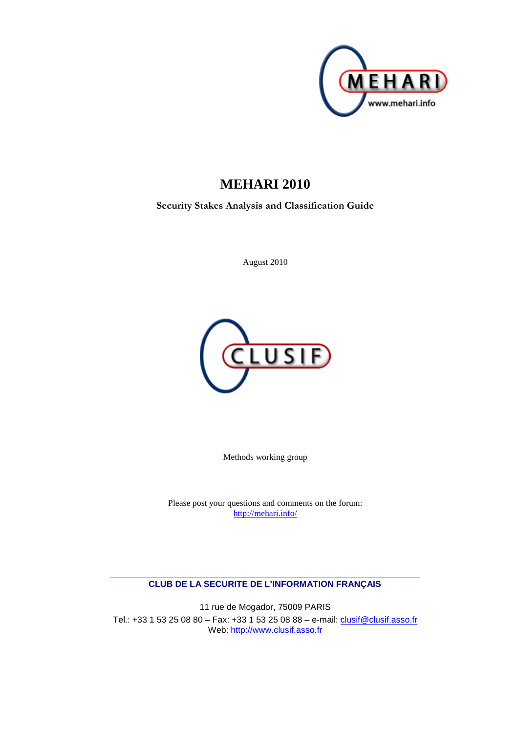

# **MEHARI 2010**

**Security Stakes Analysis and Classification Guide**

August 2010



Methods working group

Please post your questions and comments on the forum: http://mehari.info/

### **CLUB DE LA SECURITE DE L'INFORMATION FRANÇAIS**

11 rue de Mogador, 75009 PARIS Tel.: +33 1 53 25 08 80 – Fax: +33 1 53 25 08 88 – e-mail: clusif@clusif.asso.fr Web: http://www.clusif.asso.fr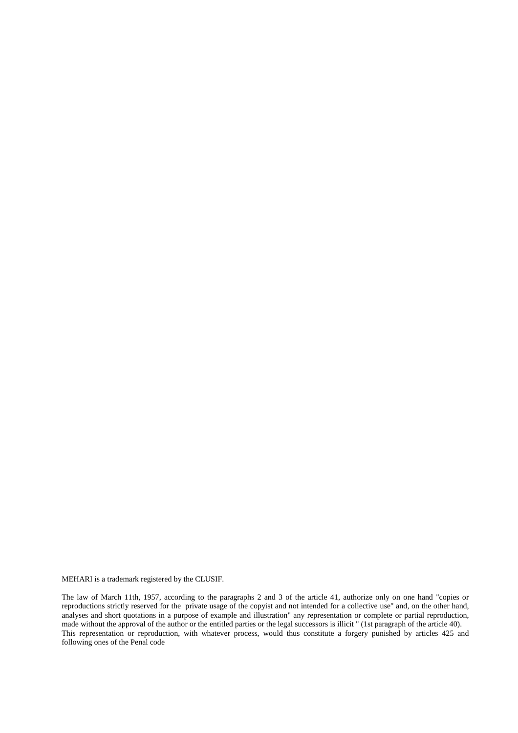MEHARI is a trademark registered by the CLUSIF.

The law of March 11th, 1957, according to the paragraphs 2 and 3 of the article 41, authorize only on one hand "copies or reproductions strictly reserved for the private usage of the copyist and not intended for a collective use" and, on the other hand, analyses and short quotations in a purpose of example and illustration" any representation or complete or partial reproduction, made without the approval of the author or the entitled parties or the legal successors is illicit " (1st paragraph of the article 40). This representation or reproduction, with whatever process, would thus constitute a forgery punished by articles 425 and following ones of the Penal code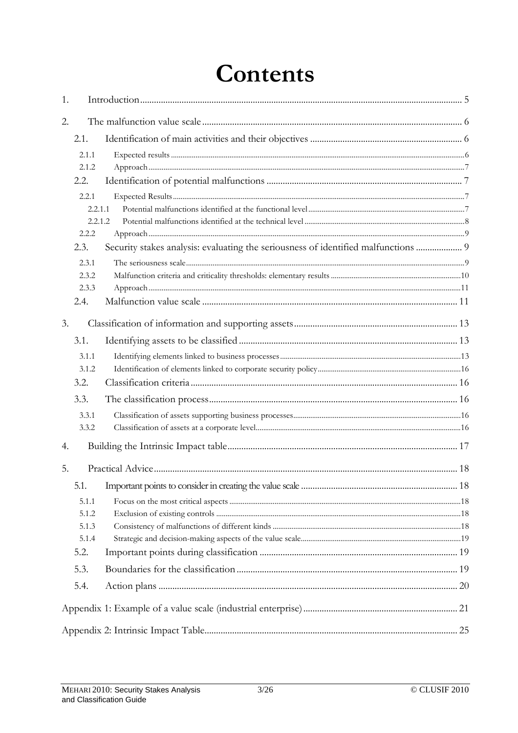# **Contents**

| 1. |         |                                                                                    |  |
|----|---------|------------------------------------------------------------------------------------|--|
| 2. |         |                                                                                    |  |
|    | 2.1.    |                                                                                    |  |
|    | 2.1.1   |                                                                                    |  |
|    | 2.1.2   |                                                                                    |  |
|    | 2.2.    |                                                                                    |  |
|    | 2.2.1   |                                                                                    |  |
|    | 2.2.1.1 |                                                                                    |  |
|    | 2.2.1.2 |                                                                                    |  |
|    | 2.2.2   |                                                                                    |  |
|    | 2.3.    | Security stakes analysis: evaluating the seriousness of identified malfunctions  9 |  |
|    | 2.3.1   |                                                                                    |  |
|    | 2.3.2   |                                                                                    |  |
|    | 2.3.3   |                                                                                    |  |
|    | 2.4.    |                                                                                    |  |
| 3. |         |                                                                                    |  |
|    | 3.1.    |                                                                                    |  |
|    | 3.1.1   |                                                                                    |  |
|    | 3.1.2   |                                                                                    |  |
|    | 3.2.    |                                                                                    |  |
|    | 3.3.    |                                                                                    |  |
|    | 3.3.1   |                                                                                    |  |
|    | 3.3.2   |                                                                                    |  |
| 4. |         |                                                                                    |  |
| 5. |         |                                                                                    |  |
|    | 5.1.    |                                                                                    |  |
|    | 5.1.1   |                                                                                    |  |
|    | 5.1.2   |                                                                                    |  |
|    | 5.1.3   |                                                                                    |  |
|    | 5.1.4   |                                                                                    |  |
|    | 5.2.    |                                                                                    |  |
|    | 5.3.    |                                                                                    |  |
|    | 5.4.    |                                                                                    |  |
|    |         |                                                                                    |  |
|    |         |                                                                                    |  |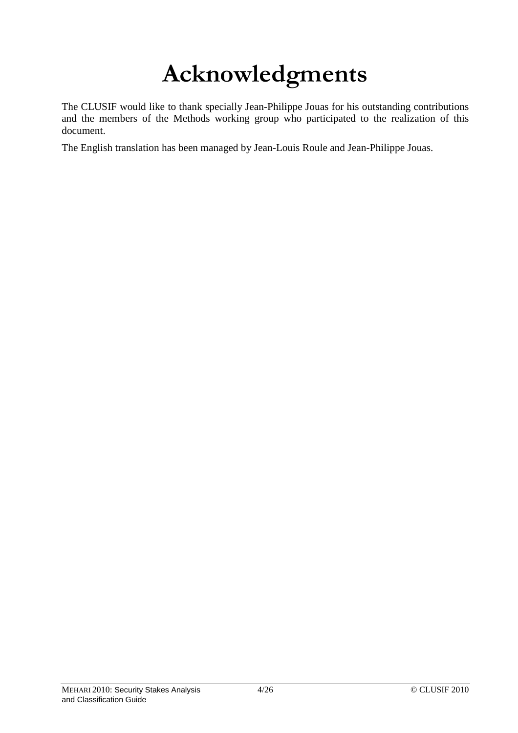# **Acknowledgments**

The CLUSIF would like to thank specially Jean-Philippe Jouas for his outstanding contributions and the members of the Methods working group who participated to the realization of this document.

The English translation has been managed by Jean-Louis Roule and Jean-Philippe Jouas.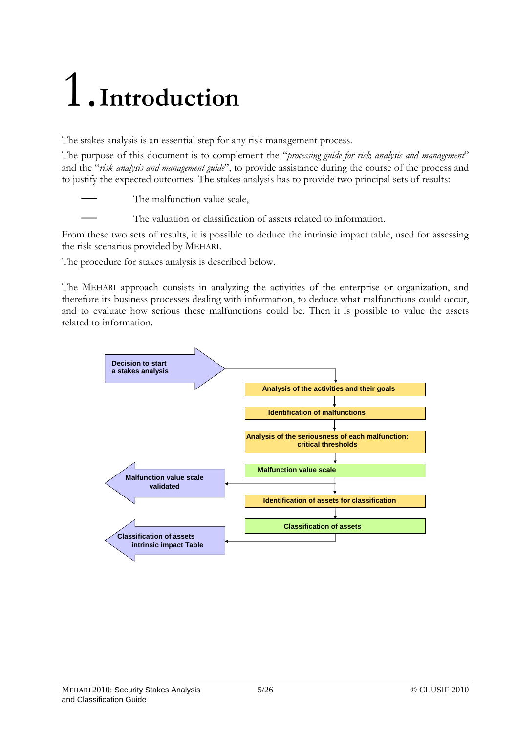# 1.**Introduction**

The stakes analysis is an essential step for any risk management process.

The purpose of this document is to complement the "*processing guide for risk analysis and management*" and the "*risk analysis and management guide*", to provide assistance during the course of the process and to justify the expected outcomes. The stakes analysis has to provide two principal sets of results:

The malfunction value scale,

The valuation or classification of assets related to information.

From these two sets of results, it is possible to deduce the intrinsic impact table, used for assessing the risk scenarios provided by MEHARI.

The procedure for stakes analysis is described below.

The MEHARI approach consists in analyzing the activities of the enterprise or organization, and therefore its business processes dealing with information, to deduce what malfunctions could occur, and to evaluate how serious these malfunctions could be. Then it is possible to value the assets related to information.

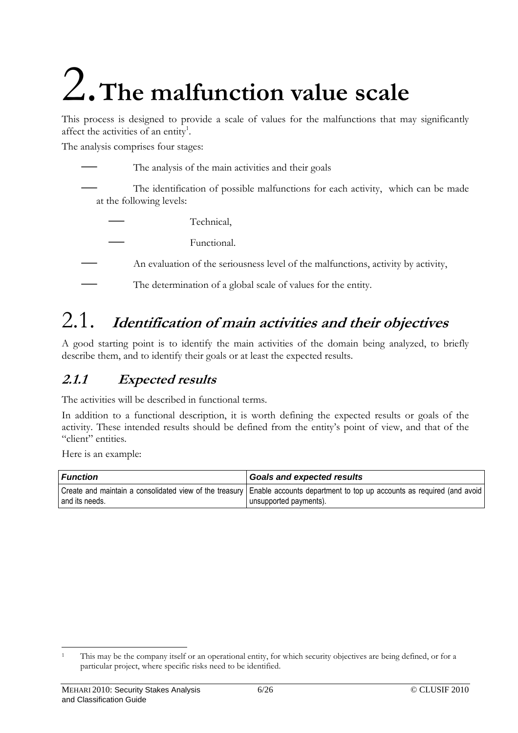# 2.**The malfunction value scale**

This process is designed to provide a scale of values for the malfunctions that may significantly affect the activities of an entity<sup>1</sup>.

The analysis comprises four stages:

The analysis of the main activities and their goals The identification of possible malfunctions for each activity, which can be made at the following levels:

— Technical,

— Functional.

- An evaluation of the seriousness level of the malfunctions, activity by activity,
- The determination of a global scale of values for the entity.

# 2.1. **Identification of main activities and their objectives**

A good starting point is to identify the main activities of the domain being analyzed, to briefly describe them, and to identify their goals or at least the expected results.

# **2.1.1 Expected results**

The activities will be described in functional terms.

In addition to a functional description, it is worth defining the expected results or goals of the activity. These intended results should be defined from the entity's point of view, and that of the "client" entities.

Here is an example:

| Function         | <b>Goals and expected results</b>                                                                                                                      |
|------------------|--------------------------------------------------------------------------------------------------------------------------------------------------------|
| I and its needs. | Create and maintain a consolidated view of the treasury Enable accounts department to top up accounts as required (and avoid<br>unsupported payments). |

 $\overline{a}$ 1 This may be the company itself or an operational entity, for which security objectives are being defined, or for a particular project, where specific risks need to be identified.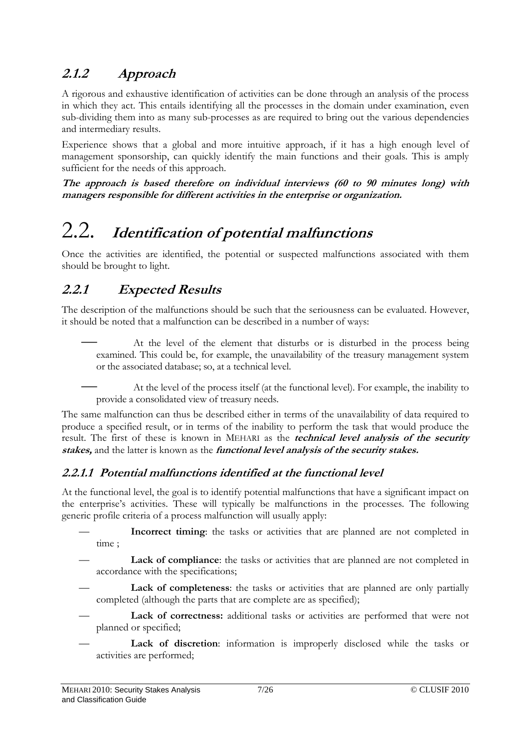# **2.1.2 Approach**

A rigorous and exhaustive identification of activities can be done through an analysis of the process in which they act. This entails identifying all the processes in the domain under examination, even sub-dividing them into as many sub-processes as are required to bring out the various dependencies and intermediary results.

Experience shows that a global and more intuitive approach, if it has a high enough level of management sponsorship, can quickly identify the main functions and their goals. This is amply sufficient for the needs of this approach.

**The approach is based therefore on individual interviews (60 to 90 minutes long) with managers responsible for different activities in the enterprise or organization.** 

# 2.2. **Identification of potential malfunctions**

Once the activities are identified, the potential or suspected malfunctions associated with them should be brought to light.

# **2.2.1 Expected Results**

The description of the malfunctions should be such that the seriousness can be evaluated. However, it should be noted that a malfunction can be described in a number of ways:

— At the level of the element that disturbs or is disturbed in the process being examined. This could be, for example, the unavailability of the treasury management system or the associated database; so, at a technical level.

— At the level of the process itself (at the functional level). For example, the inability to provide a consolidated view of treasury needs.

The same malfunction can thus be described either in terms of the unavailability of data required to produce a specified result, or in terms of the inability to perform the task that would produce the result. The first of these is known in MEHARI as the **technical level analysis of the security stakes,** and the latter is known as the **functional level analysis of the security stakes.** 

## **2.2.1.1 Potential malfunctions identified at the functional level**

At the functional level, the goal is to identify potential malfunctions that have a significant impact on the enterprise's activities. These will typically be malfunctions in the processes. The following generic profile criteria of a process malfunction will usually apply:

- **Incorrect timing**: the tasks or activities that are planned are not completed in time ;
- Lack of compliance: the tasks or activities that are planned are not completed in accordance with the specifications;
- Lack of completeness: the tasks or activities that are planned are only partially completed (although the parts that are complete are as specified);
- Lack of correctness: additional tasks or activities are performed that were not planned or specified;
- Lack of discretion: information is improperly disclosed while the tasks or activities are performed;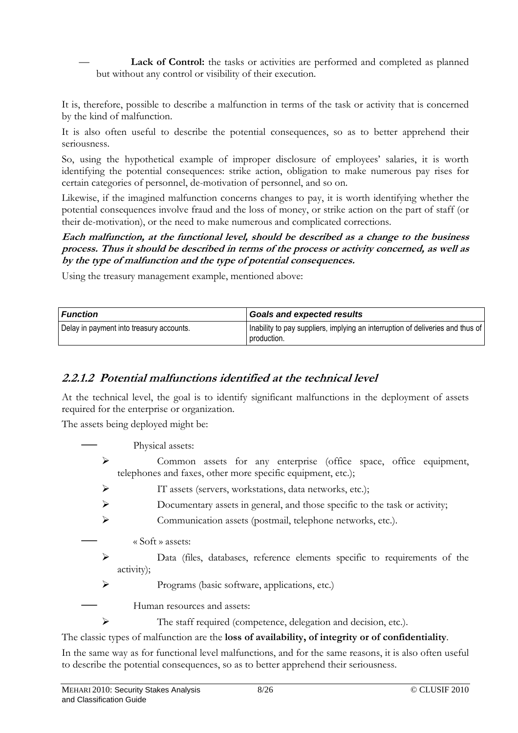Lack of Control: the tasks or activities are performed and completed as planned but without any control or visibility of their execution.

It is, therefore, possible to describe a malfunction in terms of the task or activity that is concerned by the kind of malfunction.

It is also often useful to describe the potential consequences, so as to better apprehend their seriousness.

So, using the hypothetical example of improper disclosure of employees' salaries, it is worth identifying the potential consequences: strike action, obligation to make numerous pay rises for certain categories of personnel, de-motivation of personnel, and so on.

Likewise, if the imagined malfunction concerns changes to pay, it is worth identifying whether the potential consequences involve fraud and the loss of money, or strike action on the part of staff (or their de-motivation), or the need to make numerous and complicated corrections.

#### **Each malfunction, at the functional level, should be described as a change to the business process. Thus it should be described in terms of the process or activity concerned, as well as by the type of malfunction and the type of potential consequences.**

Using the treasury management example, mentioned above:

| l Function                               | <b>Goals and expected results</b>                                                             |
|------------------------------------------|-----------------------------------------------------------------------------------------------|
| Delay in payment into treasury accounts. | Inability to pay suppliers, implying an interruption of deliveries and thus of<br>production. |

## **2.2.1.2 Potential malfunctions identified at the technical level**

At the technical level, the goal is to identify significant malfunctions in the deployment of assets required for the enterprise or organization.

The assets being deployed might be:

Physical assets:

- Common assets for any enterprise (office space, office equipment, telephones and faxes, other more specific equipment, etc.);
- IT assets (servers, workstations, data networks, etc.);
- Documentary assets in general, and those specific to the task or activity;
- Communication assets (postmail, telephone networks, etc.).
- « Soft » assets:
- Data (files, databases, reference elements specific to requirements of the activity);
- Programs (basic software, applications, etc.)
- Human resources and assets:
	- The staff required (competence, delegation and decision, etc.).

The classic types of malfunction are the **loss of availability, of integrity or of confidentiality**.

In the same way as for functional level malfunctions, and for the same reasons, it is also often useful to describe the potential consequences, so as to better apprehend their seriousness.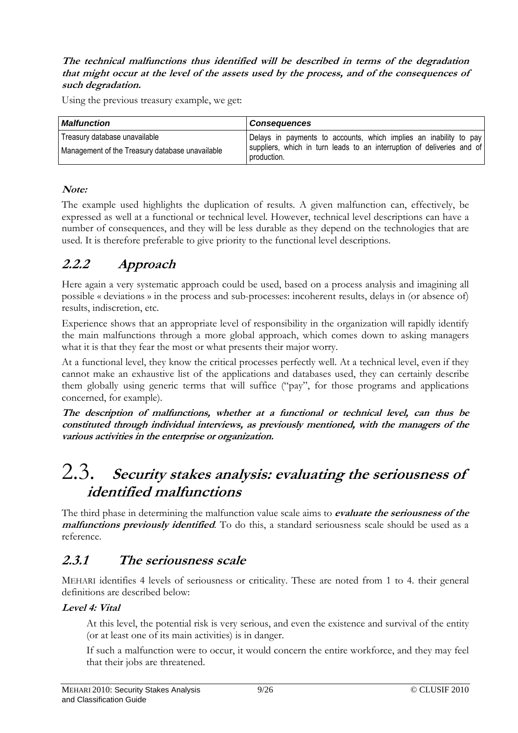#### **The technical malfunctions thus identified will be described in terms of the degradation that might occur at the level of the assets used by the process, and of the consequences of such degradation.**

Using the previous treasury example, we get:

| <b>Malfunction</b>                                                               | <b>Consequences</b>                                                                                                                         |  |  |  |  |  |  |  |  |  |
|----------------------------------------------------------------------------------|---------------------------------------------------------------------------------------------------------------------------------------------|--|--|--|--|--|--|--|--|--|
| Treasury database unavailable<br>Management of the Treasury database unavailable | Delays in payments to accounts, which implies an inability to pay<br>suppliers, which in turn leads to an interruption of deliveries and of |  |  |  |  |  |  |  |  |  |
|                                                                                  | production.                                                                                                                                 |  |  |  |  |  |  |  |  |  |

## **Note:**

The example used highlights the duplication of results. A given malfunction can, effectively, be expressed as well at a functional or technical level. However, technical level descriptions can have a number of consequences, and they will be less durable as they depend on the technologies that are used. It is therefore preferable to give priority to the functional level descriptions.

# **2.2.2 Approach**

Here again a very systematic approach could be used, based on a process analysis and imagining all possible « deviations » in the process and sub-processes: incoherent results, delays in (or absence of) results, indiscretion, etc.

Experience shows that an appropriate level of responsibility in the organization will rapidly identify the main malfunctions through a more global approach, which comes down to asking managers what it is that they fear the most or what presents their major worry.

At a functional level, they know the critical processes perfectly well. At a technical level, even if they cannot make an exhaustive list of the applications and databases used, they can certainly describe them globally using generic terms that will suffice ("pay", for those programs and applications concerned, for example).

**The description of malfunctions, whether at a functional or technical level, can thus be constituted through individual interviews, as previously mentioned, with the managers of the various activities in the enterprise or organization.** 

# 2.3. **Security stakes analysis: evaluating the seriousness of identified malfunctions**

The third phase in determining the malfunction value scale aims to **evaluate the seriousness of the malfunctions previously identified**. To do this, a standard seriousness scale should be used as a reference.

## **2.3.1 The seriousness scale**

MEHARI identifies 4 levels of seriousness or criticality. These are noted from 1 to 4. their general definitions are described below:

## **Level 4: Vital**

 At this level, the potential risk is very serious, and even the existence and survival of the entity (or at least one of its main activities) is in danger.

 If such a malfunction were to occur, it would concern the entire workforce, and they may feel that their jobs are threatened.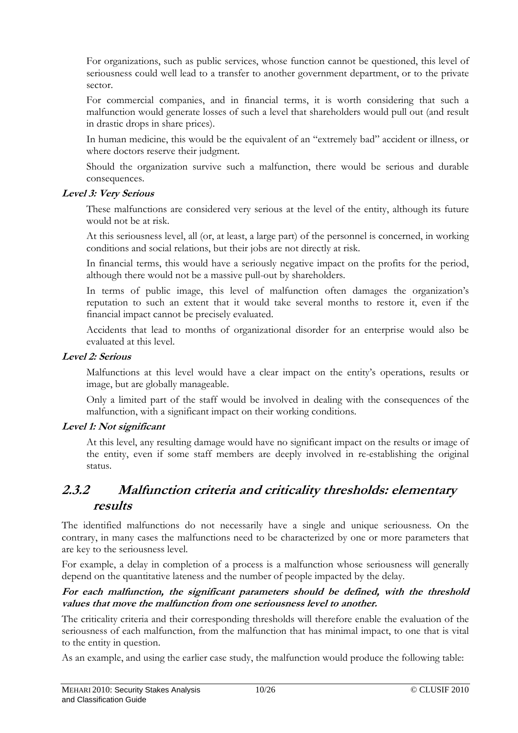For organizations, such as public services, whose function cannot be questioned, this level of seriousness could well lead to a transfer to another government department, or to the private sector.

 For commercial companies, and in financial terms, it is worth considering that such a malfunction would generate losses of such a level that shareholders would pull out (and result in drastic drops in share prices).

 In human medicine, this would be the equivalent of an "extremely bad" accident or illness, or where doctors reserve their judgment.

 Should the organization survive such a malfunction, there would be serious and durable consequences.

#### **Level 3: Very Serious**

 These malfunctions are considered very serious at the level of the entity, although its future would not be at risk.

 At this seriousness level, all (or, at least, a large part) of the personnel is concerned, in working conditions and social relations, but their jobs are not directly at risk.

 In financial terms, this would have a seriously negative impact on the profits for the period, although there would not be a massive pull-out by shareholders.

 In terms of public image, this level of malfunction often damages the organization's reputation to such an extent that it would take several months to restore it, even if the financial impact cannot be precisely evaluated.

 Accidents that lead to months of organizational disorder for an enterprise would also be evaluated at this level.

#### **Level 2: Serious**

 Malfunctions at this level would have a clear impact on the entity's operations, results or image, but are globally manageable.

 Only a limited part of the staff would be involved in dealing with the consequences of the malfunction, with a significant impact on their working conditions.

## **Level 1: Not significant**

At this level, any resulting damage would have no significant impact on the results or image of the entity, even if some staff members are deeply involved in re-establishing the original status.

## **2.3.2 Malfunction criteria and criticality thresholds: elementary results**

The identified malfunctions do not necessarily have a single and unique seriousness. On the contrary, in many cases the malfunctions need to be characterized by one or more parameters that are key to the seriousness level.

For example, a delay in completion of a process is a malfunction whose seriousness will generally depend on the quantitative lateness and the number of people impacted by the delay.

#### **For each malfunction, the significant parameters should be defined, with the threshold values that move the malfunction from one seriousness level to another.**

The criticality criteria and their corresponding thresholds will therefore enable the evaluation of the seriousness of each malfunction, from the malfunction that has minimal impact, to one that is vital to the entity in question.

As an example, and using the earlier case study, the malfunction would produce the following table: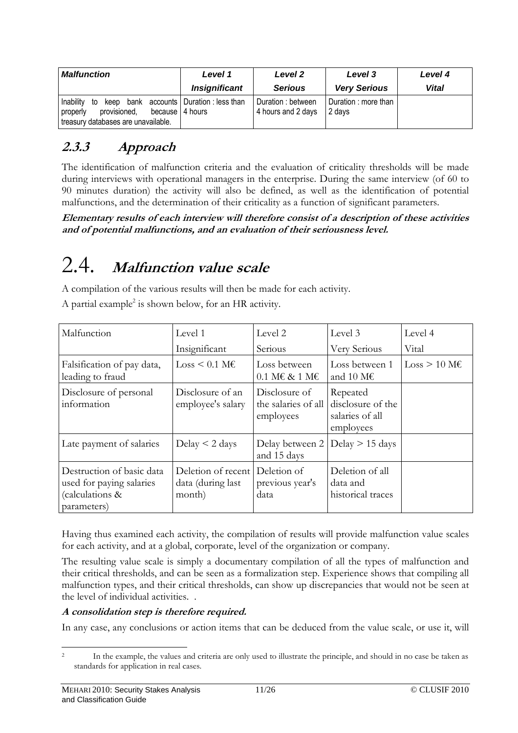| <b>Malfunction</b>                                                                                                                                | Level 1              | Level 2                                  | Level 3                        | Level 4 |  |  |  |
|---------------------------------------------------------------------------------------------------------------------------------------------------|----------------------|------------------------------------------|--------------------------------|---------|--|--|--|
|                                                                                                                                                   | <b>Insignificant</b> | <b>Serious</b>                           | <b>Very Serious</b>            | Vital   |  |  |  |
| to keep bank accounts   Duration : less than<br>Inability<br>provisioned,<br>because   4 hours<br>properly<br>treasury databases are unavailable. |                      | Duration : between<br>4 hours and 2 days | Duration : more than<br>2 davs |         |  |  |  |

# **2.3.3 Approach**

The identification of malfunction criteria and the evaluation of criticality thresholds will be made during interviews with operational managers in the enterprise. During the same interview (of 60 to 90 minutes duration) the activity will also be defined, as well as the identification of potential malfunctions, and the determination of their criticality as a function of significant parameters.

**Elementary results of each interview will therefore consist of a description of these activities and of potential malfunctions, and an evaluation of their seriousness level.** 

# 2.4. **Malfunction value scale**

A compilation of the various results will then be made for each activity.

A partial example<sup>2</sup> is shown below, for an HR activity.

| Malfunction                                                                             | Level 1                                           | Level 2                                                       | Level 3                                                       | Level 4                  |
|-----------------------------------------------------------------------------------------|---------------------------------------------------|---------------------------------------------------------------|---------------------------------------------------------------|--------------------------|
|                                                                                         | Insignificant                                     | Serious                                                       | Very Serious                                                  | Vital                    |
| Falsification of pay data,<br>leading to fraud                                          | $Loss < 0.1$ M $\epsilon$                         | Loss between<br>$0.1 \text{ M} \in \text{\&} 1 \text{ M} \in$ | Loss between 1<br>and 10 M $\epsilon$                         | $Loss > 10$ M $\epsilon$ |
| Disclosure of personal<br>information                                                   | Disclosure of an<br>employee's salary             | Disclosure of<br>the salaries of all<br>employees             | Repeated<br>disclosure of the<br>salaries of all<br>employees |                          |
| Late payment of salaries                                                                | Delay $\leq$ 2 days                               | Delay between $2  $ Delay $> 15$ days<br>and 15 days          |                                                               |                          |
| Destruction of basic data<br>used for paying salaries<br>(calculations &<br>parameters) | Deletion of recent<br>data (during last<br>month) | Deletion of<br>previous year's<br>data                        | Deletion of all<br>data and<br>historical traces              |                          |

Having thus examined each activity, the compilation of results will provide malfunction value scales for each activity, and at a global, corporate, level of the organization or company.

The resulting value scale is simply a documentary compilation of all the types of malfunction and their critical thresholds, and can be seen as a formalization step. Experience shows that compiling all malfunction types, and their critical thresholds, can show up discrepancies that would not be seen at the level of individual activities. .

## **A consolidation step is therefore required.**

In any case, any conclusions or action items that can be deduced from the value scale, or use it, will

 $\overline{a}$ 

<sup>2</sup> In the example, the values and criteria are only used to illustrate the principle, and should in no case be taken as standards for application in real cases.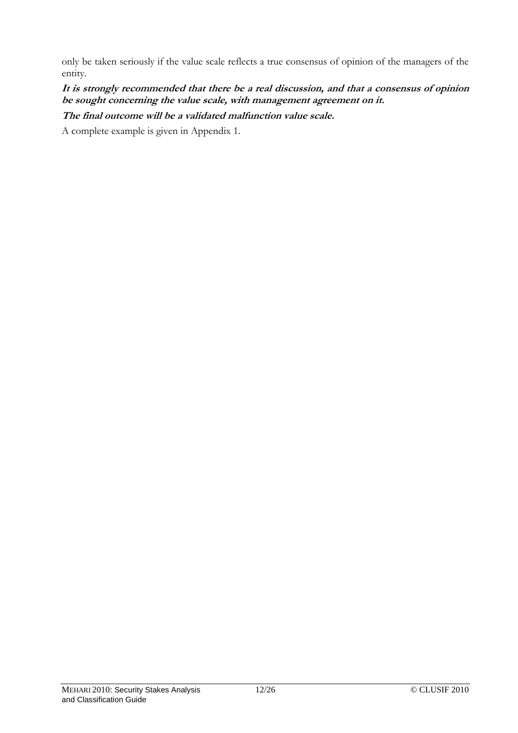only be taken seriously if the value scale reflects a true consensus of opinion of the managers of the entity.

**It is strongly recommended that there be a real discussion, and that a consensus of opinion be sought concerning the value scale, with management agreement on it. The final outcome will be a validated malfunction value scale.** 

A complete example is given in Appendix 1.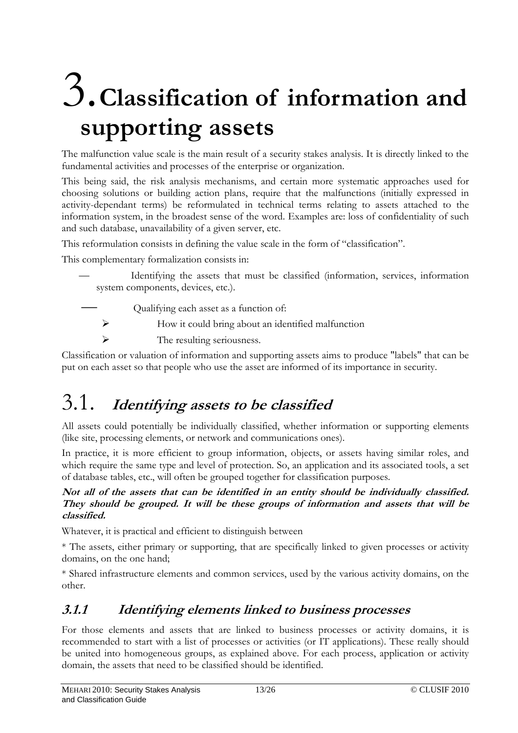# 3.**Classification of information and supporting assets**

The malfunction value scale is the main result of a security stakes analysis. It is directly linked to the fundamental activities and processes of the enterprise or organization.

This being said, the risk analysis mechanisms, and certain more systematic approaches used for choosing solutions or building action plans, require that the malfunctions (initially expressed in activity-dependant terms) be reformulated in technical terms relating to assets attached to the information system, in the broadest sense of the word. Examples are: loss of confidentiality of such and such database, unavailability of a given server, etc.

This reformulation consists in defining the value scale in the form of "classification".

This complementary formalization consists in:

— Identifying the assets that must be classified (information, services, information system components, devices, etc.).

— Qualifying each asset as a function of:

- $\triangleright$  How it could bring about an identified malfunction
- $\triangleright$  The resulting seriousness.

Classification or valuation of information and supporting assets aims to produce "labels" that can be put on each asset so that people who use the asset are informed of its importance in security.

# 3.1. **Identifying assets to be classified**

All assets could potentially be individually classified, whether information or supporting elements (like site, processing elements, or network and communications ones).

In practice, it is more efficient to group information, objects, or assets having similar roles, and which require the same type and level of protection. So, an application and its associated tools, a set of database tables, etc., will often be grouped together for classification purposes.

### **Not all of the assets that can be identified in an entity should be individually classified. They should be grouped. It will be these groups of information and assets that will be classified.**

Whatever, it is practical and efficient to distinguish between

\* The assets, either primary or supporting, that are specifically linked to given processes or activity domains, on the one hand;

\* Shared infrastructure elements and common services, used by the various activity domains, on the other.

# **3.1.1 Identifying elements linked to business processes**

For those elements and assets that are linked to business processes or activity domains, it is recommended to start with a list of processes or activities (or IT applications). These really should be united into homogeneous groups, as explained above. For each process, application or activity domain, the assets that need to be classified should be identified.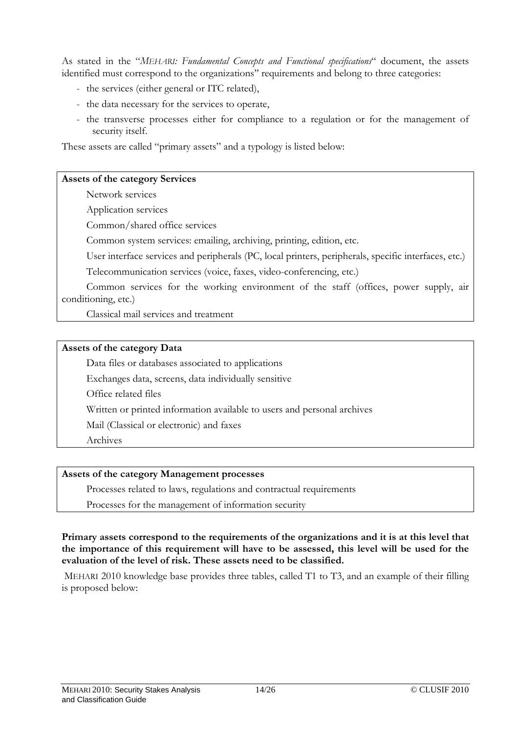As stated in the "*MEHARI: Fundamental Concepts and Functional specifications*" document, the assets identified must correspond to the organizations'' requirements and belong to three categories:

- the services (either general or ITC related),
- the data necessary for the services to operate,
- the transverse processes either for compliance to a regulation or for the management of security itself.

These assets are called "primary assets" and a typology is listed below:

#### **Assets of the category Services**

Network services

Application services

Common/shared office services

Common system services: emailing, archiving, printing, edition, etc.

User interface services and peripherals (PC, local printers, peripherals, specific interfaces, etc.)

Telecommunication services (voice, faxes, video-conferencing, etc.)

 Common services for the working environment of the staff (offices, power supply, air conditioning, etc.)

Classical mail services and treatment

#### **Assets of the category Data**

Data files or databases associated to applications

Exchanges data, screens, data individually sensitive

Office related files

Written or printed information available to users and personal archives

Mail (Classical or electronic) and faxes

Archives

#### **Assets of the category Management processes**

Processes related to laws, regulations and contractual requirements

Processes for the management of information security

#### **Primary assets correspond to the requirements of the organizations and it is at this level that the importance of this requirement will have to be assessed, this level will be used for the evaluation of the level of risk. These assets need to be classified.**

 MEHARI 2010 knowledge base provides three tables, called T1 to T3, and an example of their filling is proposed below: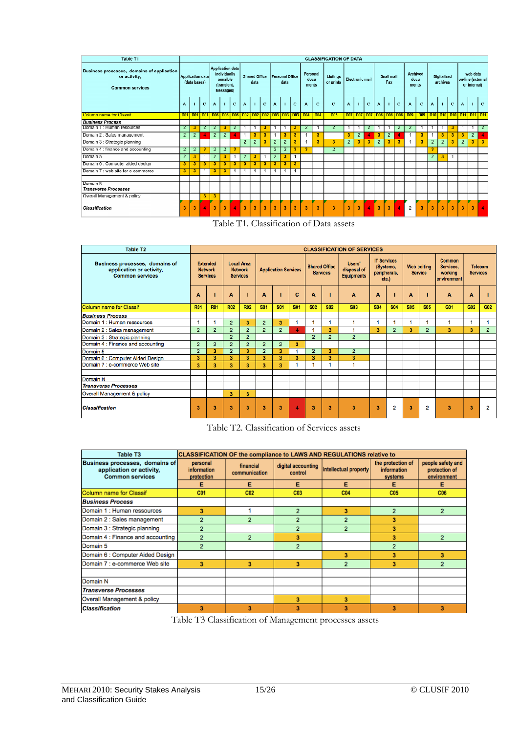| Table T1                                                                                                        | <b>CLASSIFICATION OF DATA</b> |                |                |                                                                          |                |                              |                         |                         |                |                |                           |                       |                                                         |                 |                |                         |                   |              |                         |              |                         |                                |   |                |                                                |              |                         |                                 |                |
|-----------------------------------------------------------------------------------------------------------------|-------------------------------|----------------|----------------|--------------------------------------------------------------------------|----------------|------------------------------|-------------------------|-------------------------|----------------|----------------|---------------------------|-----------------------|---------------------------------------------------------|-----------------|----------------|-------------------------|-------------------|--------------|-------------------------|--------------|-------------------------|--------------------------------|---|----------------|------------------------------------------------|--------------|-------------------------|---------------------------------|----------------|
| <b>Business processes, domains of application</b><br>or activity,<br>Application data<br><b>Common services</b> |                               | (data bases)   |                | Application data<br>individually<br>sensible<br>(transient,<br>Messages) |                | <b>Shared Office</b><br>data |                         | Personal Office<br>data |                |                | Personal<br>docu<br>ments | Listings<br>or prints |                                                         | Electronic mail |                |                         | Snail mail<br>Fax |              | docu<br>ments           | Archived     |                         | <b>Digitalized</b><br>archives |   |                | web data<br>on-line (external)<br>or internal) |              |                         |                                 |                |
|                                                                                                                 | A                             | п.             | $\mathbb{C}$   | A                                                                        |                | $\mathbf{C}$                 | $\mathbf{A}$            |                         | c              | A              |                           | c                     | $\blacktriangle$                                        | C               | c              | $\blacktriangle$        | $\mathbf{1}$      | c            | $\Delta$                |              | C.                      | A                              | c | A              | -11                                            | $\mathbf C$  | A                       |                                 | $\Gamma$       |
| <b>Column name for Classif</b>                                                                                  |                               |                |                |                                                                          |                |                              |                         |                         |                |                |                           |                       | 001 001 001 001 006 006 006 002 002 002 003 003 003 004 | D <sub>0</sub>  | <b>D05</b>     |                         |                   |              |                         |              |                         | 007 007 007 008 008 008 009    |   |                |                                                |              |                         | 009 010 010 010 011 011 011 011 |                |
| <b>Business Process</b>                                                                                         |                               |                |                |                                                                          |                |                              |                         |                         |                |                |                           |                       |                                                         |                 |                |                         |                   |              |                         |              |                         |                                |   |                |                                                |              |                         |                                 |                |
| Domain 1: Human resources                                                                                       | $\overline{2}$                | 3              | $\overline{2}$ | $\overline{2}$                                                           | 3              | $\overline{2}$               |                         |                         | з              |                |                           | 3                     | $\overline{2}$                                          |                 | $\overline{2}$ |                         |                   | $\mathbf{z}$ |                         |              | $\mathbf{2}$            | 2                              |   |                |                                                | 3            |                         |                                 | $\overline{2}$ |
| Domain 2 : Sales management                                                                                     | $\mathbf{2}$                  | $\overline{2}$ |                | $\overline{2}$                                                           | $\mathbf{2}$   |                              | $\mathbf{1}$            | 3                       | 3              |                |                           | 3                     |                                                         | 3               |                | 3                       | $\overline{2}$    |              | 3                       | $\mathbf{2}$ |                         |                                | 3 |                | 3                                              | 3            | 3                       | $\overline{2}$                  |                |
| Domain 3 : Strategic planning                                                                                   |                               |                |                |                                                                          |                |                              | $\overline{2}$          | $\overline{2}$          | 3              | $\overline{2}$ | $\overline{2}$            | 3                     |                                                         | 3               | 3              | $\overline{2}$          | 3                 | 3            | $\overline{2}$          | 3            | $\overline{\mathbf{3}}$ |                                | 3 | $\overline{2}$ | $\overline{2}$                                 | 3            | $\overline{2}$          | 3                               | 3              |
| Domain 4 : finance and accounting                                                                               | $\mathbf{2}^{\prime}$         | $\overline{2}$ | з              | $\overline{2}$                                                           | $\overline{2}$ | 3                            |                         |                         |                | 2              | $\overline{2}$            | з                     | 3                                                       |                 | $\overline{2}$ |                         |                   |              |                         |              |                         |                                |   | 3              |                                                |              |                         |                                 |                |
| Domain 5                                                                                                        | $\overline{2}$                | 3              | -1             | $\overline{2}$                                                           | з              | -1                           | $\overline{2}$          | 3.                      | $\overline{1}$ | 2              | 3                         |                       |                                                         |                 |                |                         |                   |              |                         |              |                         |                                |   | $\overline{2}$ | 3                                              | $\mathbf{1}$ |                         |                                 |                |
| Domain 0 . Computer aided design                                                                                | э                             | 3 <sub>1</sub> | э              | а                                                                        | э              | а                            | $\mathbf{3}$            | э                       | а              | э              | э                         | а                     |                                                         |                 |                |                         |                   |              |                         |              |                         |                                |   |                |                                                |              |                         |                                 |                |
| Domain 7 : web oite for e commerce                                                                              | 3.                            | з              | 1              | з                                                                        | 2              | -1                           |                         | 4                       | -1             |                |                           | -1                    |                                                         |                 |                |                         |                   |              |                         |              |                         |                                |   |                |                                                |              |                         |                                 |                |
|                                                                                                                 |                               |                |                |                                                                          |                |                              |                         |                         |                |                |                           |                       |                                                         |                 |                |                         |                   |              |                         |              |                         |                                |   |                |                                                |              |                         |                                 |                |
| Domain N                                                                                                        |                               |                |                |                                                                          |                |                              |                         |                         |                |                |                           |                       |                                                         |                 |                |                         |                   |              |                         |              |                         |                                |   |                |                                                |              |                         |                                 |                |
| <b>Transverse Processes</b>                                                                                     |                               |                |                |                                                                          |                |                              |                         |                         |                |                |                           |                       |                                                         |                 |                |                         |                   |              |                         |              |                         |                                |   |                |                                                |              |                         |                                 |                |
| Overall Management & policy                                                                                     |                               |                | з              | 3                                                                        |                |                              |                         |                         |                |                |                           |                       |                                                         |                 |                |                         |                   |              |                         |              |                         |                                |   |                |                                                |              |                         |                                 |                |
| <b>Classification</b>                                                                                           | 3                             | 3              |                | $\overline{\mathbf{3}}$                                                  | 3              |                              | $\overline{\mathbf{3}}$ | 3                       | 3              | $\overline{3}$ | 3                         | 3                     | 2                                                       | 3               | 3              | $\overline{\mathbf{3}}$ | 3                 | l y          | $\overline{\mathbf{3}}$ | 3            |                         | $\overline{2}$                 | 2 | 3              | 3                                              | 3            | $\overline{\mathbf{3}}$ | 3                               |                |

|  |  | Table T1. Classification of Data assets |  |
|--|--|-----------------------------------------|--|
|--|--|-----------------------------------------|--|

| <b>Table T2</b>                                                                      |                                                      |                         |                                                        |                |                             |                         |            |                                         |                | <b>CLASSIFICATION OF SERVICES</b>          |                                                         |                |                                      |                |                                                      |                                   |                |
|--------------------------------------------------------------------------------------|------------------------------------------------------|-------------------------|--------------------------------------------------------|----------------|-----------------------------|-------------------------|------------|-----------------------------------------|----------------|--------------------------------------------|---------------------------------------------------------|----------------|--------------------------------------|----------------|------------------------------------------------------|-----------------------------------|----------------|
| Business processes, domains of<br>application or activity,<br><b>Common services</b> | <b>Extended</b><br><b>Network</b><br><b>Services</b> |                         | <b>Local Area</b><br><b>Network</b><br><b>Services</b> |                | <b>Application Services</b> |                         |            | <b>Shared Office</b><br><b>Services</b> |                | Users'<br>disposal of<br><b>Equipments</b> | <b>IT Services</b><br>(Systems,<br>peripherals,<br>etc. |                | <b>Web editing</b><br><b>Service</b> |                | <b>Common</b><br>Services.<br>working<br>environment | <b>Telecom</b><br><b>Services</b> |                |
|                                                                                      | А                                                    |                         | А                                                      |                | А                           |                         | C          | А                                       |                | A                                          | A                                                       |                | А                                    |                | A                                                    | А                                 |                |
| Column name for Classif                                                              | <b>R01</b>                                           | <b>R01</b>              | <b>R02</b>                                             | <b>R02</b>     | <b>S01</b>                  | <b>S01</b>              | <b>S01</b> | <b>S02</b>                              | <b>S02</b>     | <b>S03</b>                                 | <b>S04</b>                                              | <b>S04</b>     | <b>S05</b>                           | <b>S05</b>     | G01                                                  | G <sub>02</sub>                   | G02            |
| <b>Business Process</b>                                                              |                                                      |                         |                                                        |                |                             |                         |            |                                         |                |                                            |                                                         |                |                                      |                |                                                      |                                   |                |
| Domain 1 : Human ressources                                                          | 4                                                    |                         | $\overline{2}$                                         | 3              | $\overline{2}$              | 3                       |            |                                         |                |                                            |                                                         |                |                                      |                |                                                      | ٠                                 |                |
| Domain 2 : Sales management                                                          | $\overline{2}$                                       | $\overline{2}$          | $\overline{2}$                                         | $\overline{2}$ | $\overline{2}$              | $\overline{2}$          | 4          |                                         | a              |                                            | 3                                                       | $\overline{2}$ | 3                                    | $\overline{2}$ | 3                                                    | 3                                 | $\overline{2}$ |
| Domain 3 : Strategic planning                                                        |                                                      |                         | $\overline{2}$                                         | $\overline{2}$ |                             |                         |            | $\overline{2}$                          | $\overline{2}$ | $\overline{2}$                             |                                                         |                |                                      |                |                                                      |                                   |                |
| Domain 4 : Finance and accounting                                                    | $\overline{a}$                                       | $\overline{2}$          | $\overline{2}$                                         | $\overline{2}$ | $\overline{2}$              | $\overline{2}$          | 3          |                                         |                |                                            |                                                         |                |                                      |                |                                                      |                                   |                |
| Domain 5                                                                             | $\overline{2}$                                       | $\overline{\mathbf{3}}$ | $\overline{2}$                                         | 3              | $\overline{2}$              | $\overline{\mathbf{3}}$ |            | $\overline{2}$                          | 3              | $\overline{2}$                             |                                                         |                |                                      |                |                                                      |                                   |                |
| Domain 6 : Computer Aided Design                                                     | 3                                                    | 3                       | 3                                                      | 3              | 3                           | 3                       | 3          | 3                                       | 3              | 3                                          |                                                         |                |                                      |                |                                                      |                                   |                |
| Domain 7 : e-commerce Web site                                                       | 3                                                    | 3                       | 3                                                      | 3              | 3                           | 3                       |            |                                         |                |                                            |                                                         |                |                                      |                |                                                      |                                   |                |
| Domain N                                                                             |                                                      |                         |                                                        |                |                             |                         |            |                                         |                |                                            |                                                         |                |                                      |                |                                                      |                                   |                |
| <b>Transverse Processes</b>                                                          |                                                      |                         |                                                        |                |                             |                         |            |                                         |                |                                            |                                                         |                |                                      |                |                                                      |                                   |                |
|                                                                                      |                                                      |                         |                                                        |                |                             |                         |            |                                         |                |                                            |                                                         |                |                                      |                |                                                      |                                   |                |
| Overall Management & policy                                                          |                                                      |                         | 3                                                      | 3              |                             |                         |            |                                         |                |                                            |                                                         |                |                                      |                |                                                      |                                   |                |
| <b>Classification</b>                                                                | 3                                                    | 3                       | 3                                                      | 3              | 3                           | 3                       | 4          | 3                                       | 3              | $\overline{\mathbf{3}}$                    | 3                                                       | $\overline{2}$ | 3                                    | 2              | 3                                                    | 3                                 | 2              |

Table T2. Classification of Services assets

| <b>Table T3</b>                                                                      | <b>CLASSIFICATION OF the compliance to LAWS AND REGULATIONS relative to</b> |                            |                               |                       |                                             |                                                   |  |  |  |  |  |  |  |
|--------------------------------------------------------------------------------------|-----------------------------------------------------------------------------|----------------------------|-------------------------------|-----------------------|---------------------------------------------|---------------------------------------------------|--|--|--|--|--|--|--|
| Business processes, domains of<br>application or activity,<br><b>Common services</b> | personal<br>information<br>protection                                       | financial<br>communication | digital accounting<br>control | intellectual property | the protection of<br>information<br>systems | people safety and<br>protection of<br>environment |  |  |  |  |  |  |  |
|                                                                                      | Е                                                                           | Е                          | Е                             | Е                     | Е                                           | Е                                                 |  |  |  |  |  |  |  |
| Column name for Classif                                                              | C <sub>01</sub>                                                             | C <sub>02</sub>            | C <sub>03</sub>               | C <sub>04</sub>       | C <sub>05</sub>                             | C <sub>06</sub>                                   |  |  |  |  |  |  |  |
| <b>Business Process</b>                                                              |                                                                             |                            |                               |                       |                                             |                                                   |  |  |  |  |  |  |  |
| Domain 1: Human ressources                                                           | 3                                                                           |                            | $\overline{2}$                | 3                     | $\overline{2}$                              | $\overline{2}$                                    |  |  |  |  |  |  |  |
| Domain 2 : Sales management                                                          |                                                                             | $\overline{2}$             | $\overline{2}$                |                       | 3                                           |                                                   |  |  |  |  |  |  |  |
| Domain 3 : Strategic planning                                                        |                                                                             |                            | $\overline{2}$                | 2                     | 3                                           |                                                   |  |  |  |  |  |  |  |
| Domain 4 : Finance and accounting                                                    |                                                                             | $\overline{2}$             | 3                             |                       | 3                                           | 2                                                 |  |  |  |  |  |  |  |
| Domain 5                                                                             | 2                                                                           |                            | $\overline{2}$                |                       | $\overline{2}$                              |                                                   |  |  |  |  |  |  |  |
| Domain 6 : Computer Aided Design                                                     |                                                                             |                            |                               | 3                     | 3                                           | 3                                                 |  |  |  |  |  |  |  |
| Domain 7 : e-commerce Web site                                                       | 3                                                                           | 3                          | 3                             | 2                     | 3                                           | $\overline{2}$                                    |  |  |  |  |  |  |  |
|                                                                                      |                                                                             |                            |                               |                       |                                             |                                                   |  |  |  |  |  |  |  |
| Domain N                                                                             |                                                                             |                            |                               |                       |                                             |                                                   |  |  |  |  |  |  |  |
| <b>Transverse Processes</b>                                                          |                                                                             |                            |                               |                       |                                             |                                                   |  |  |  |  |  |  |  |
| Overall Management & policy                                                          |                                                                             |                            | 3                             | 3                     |                                             |                                                   |  |  |  |  |  |  |  |
| <b>Classification</b>                                                                | 3                                                                           | 3                          | 3                             | 3                     | 3                                           | 3                                                 |  |  |  |  |  |  |  |

Table T3 Classification of Management processes assets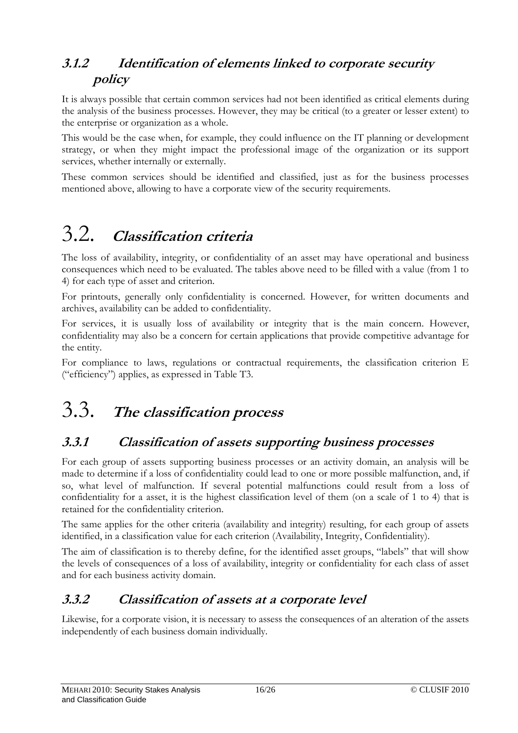# **3.1.2 Identification of elements linked to corporate security policy**

It is always possible that certain common services had not been identified as critical elements during the analysis of the business processes. However, they may be critical (to a greater or lesser extent) to the enterprise or organization as a whole.

This would be the case when, for example, they could influence on the IT planning or development strategy, or when they might impact the professional image of the organization or its support services, whether internally or externally.

These common services should be identified and classified, just as for the business processes mentioned above, allowing to have a corporate view of the security requirements.

# 3.2. **Classification criteria**

The loss of availability, integrity, or confidentiality of an asset may have operational and business consequences which need to be evaluated. The tables above need to be filled with a value (from 1 to 4) for each type of asset and criterion.

For printouts, generally only confidentiality is concerned. However, for written documents and archives, availability can be added to confidentiality.

For services, it is usually loss of availability or integrity that is the main concern. However, confidentiality may also be a concern for certain applications that provide competitive advantage for the entity.

For compliance to laws, regulations or contractual requirements, the classification criterion E ("efficiency") applies, as expressed in Table T3.

# 3.3. **The classification process**

# **3.3.1 Classification of assets supporting business processes**

For each group of assets supporting business processes or an activity domain, an analysis will be made to determine if a loss of confidentiality could lead to one or more possible malfunction, and, if so, what level of malfunction. If several potential malfunctions could result from a loss of confidentiality for a asset, it is the highest classification level of them (on a scale of 1 to 4) that is retained for the confidentiality criterion.

The same applies for the other criteria (availability and integrity) resulting, for each group of assets identified, in a classification value for each criterion (Availability, Integrity, Confidentiality).

The aim of classification is to thereby define, for the identified asset groups, "labels" that will show the levels of consequences of a loss of availability, integrity or confidentiality for each class of asset and for each business activity domain.

# **3.3.2 Classification of assets at a corporate level**

Likewise, for a corporate vision, it is necessary to assess the consequences of an alteration of the assets independently of each business domain individually.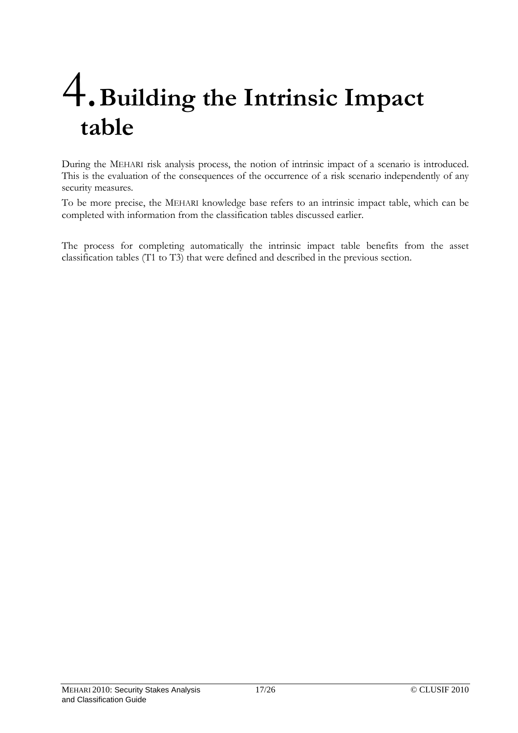# 4.**Building the Intrinsic Impact table**

During the MEHARI risk analysis process, the notion of intrinsic impact of a scenario is introduced. This is the evaluation of the consequences of the occurrence of a risk scenario independently of any security measures.

To be more precise, the MEHARI knowledge base refers to an intrinsic impact table, which can be completed with information from the classification tables discussed earlier.

The process for completing automatically the intrinsic impact table benefits from the asset classification tables (T1 to T3) that were defined and described in the previous section.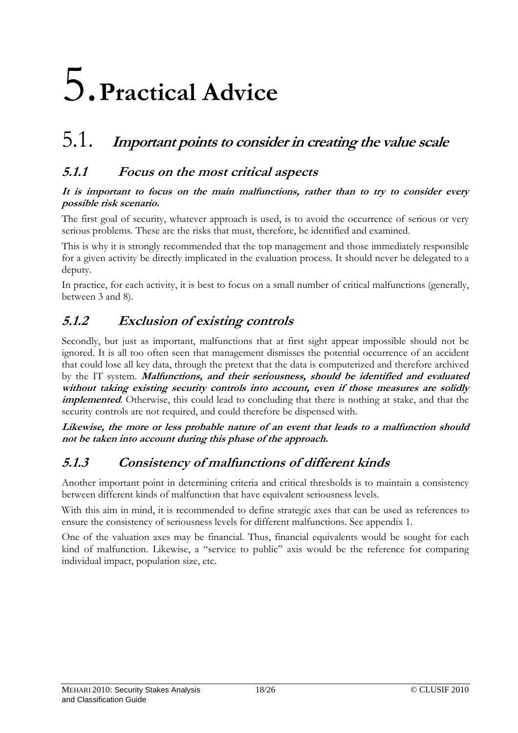# 5.**Practical Advice**

# 5.1. **Important points to consider in creating the value scale**

## **5.1.1 Focus on the most critical aspects**

#### **It is important to focus on the main malfunctions, rather than to try to consider every possible risk scenario.**

The first goal of security, whatever approach is used, is to avoid the occurrence of serious or very serious problems. These are the risks that must, therefore, be identified and examined.

This is why it is strongly recommended that the top management and those immediately responsible for a given activity be directly implicated in the evaluation process. It should never be delegated to a deputy.

In practice, for each activity, it is best to focus on a small number of critical malfunctions (generally, between 3 and 8).

# **5.1.2 Exclusion of existing controls**

Secondly, but just as important, malfunctions that at first sight appear impossible should not be ignored. It is all too often seen that management dismisses the potential occurrence of an accident that could lose all key data, through the pretext that the data is computerized and therefore archived by the IT system. **Malfunctions, and their seriousness, should be identified and evaluated without taking existing security controls into account, even if those measures are solidly implemented**. Otherwise, this could lead to concluding that there is nothing at stake, and that the security controls are not required, and could therefore be dispensed with.

**Likewise, the more or less probable nature of an event that leads to a malfunction should not be taken into account during this phase of the approach.** 

# **5.1.3 Consistency of malfunctions of different kinds**

Another important point in determining criteria and critical thresholds is to maintain a consistency between different kinds of malfunction that have equivalent seriousness levels.

With this aim in mind, it is recommended to define strategic axes that can be used as references to ensure the consistency of seriousness levels for different malfunctions. See appendix 1.

One of the valuation axes may be financial. Thus, financial equivalents would be sought for each kind of malfunction. Likewise, a "service to public" axis would be the reference for comparing individual impact, population size, etc.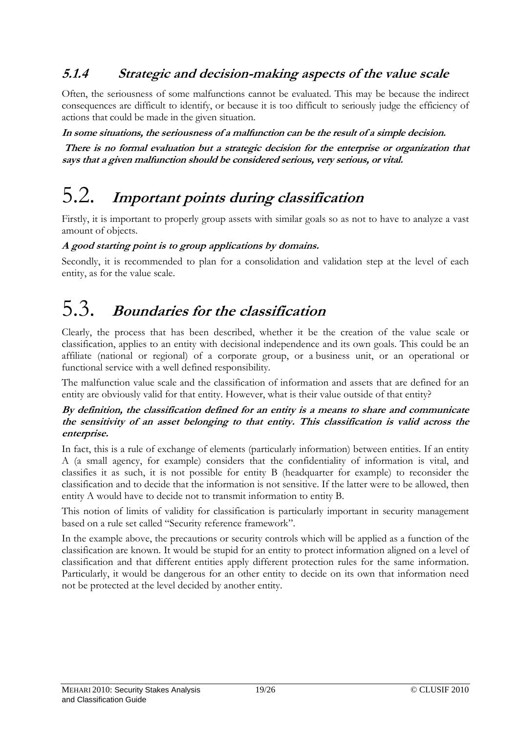# **5.1.4 Strategic and decision-making aspects of the value scale**

Often, the seriousness of some malfunctions cannot be evaluated. This may be because the indirect consequences are difficult to identify, or because it is too difficult to seriously judge the efficiency of actions that could be made in the given situation.

**In some situations, the seriousness of a malfunction can be the result of a simple decision.** 

 **There is no formal evaluation but a strategic decision for the enterprise or organization that says that a given malfunction should be considered serious, very serious, or vital.** 

# 5.2. **Important points during classification**

Firstly, it is important to properly group assets with similar goals so as not to have to analyze a vast amount of objects.

#### **A good starting point is to group applications by domains.**

Secondly, it is recommended to plan for a consolidation and validation step at the level of each entity, as for the value scale.

# 5.3. **Boundaries for the classification**

Clearly, the process that has been described, whether it be the creation of the value scale or classification, applies to an entity with decisional independence and its own goals. This could be an affiliate (national or regional) of a corporate group, or a business unit, or an operational or functional service with a well defined responsibility.

The malfunction value scale and the classification of information and assets that are defined for an entity are obviously valid for that entity. However, what is their value outside of that entity?

#### **By definition, the classification defined for an entity is a means to share and communicate the sensitivity of an asset belonging to that entity. This classification is valid across the enterprise.**

In fact, this is a rule of exchange of elements (particularly information) between entities. If an entity A (a small agency, for example) considers that the confidentiality of information is vital, and classifies it as such, it is not possible for entity B (headquarter for example) to reconsider the classification and to decide that the information is not sensitive. If the latter were to be allowed, then entity A would have to decide not to transmit information to entity B.

This notion of limits of validity for classification is particularly important in security management based on a rule set called "Security reference framework".

In the example above, the precautions or security controls which will be applied as a function of the classification are known. It would be stupid for an entity to protect information aligned on a level of classification and that different entities apply different protection rules for the same information. Particularly, it would be dangerous for an other entity to decide on its own that information need not be protected at the level decided by another entity.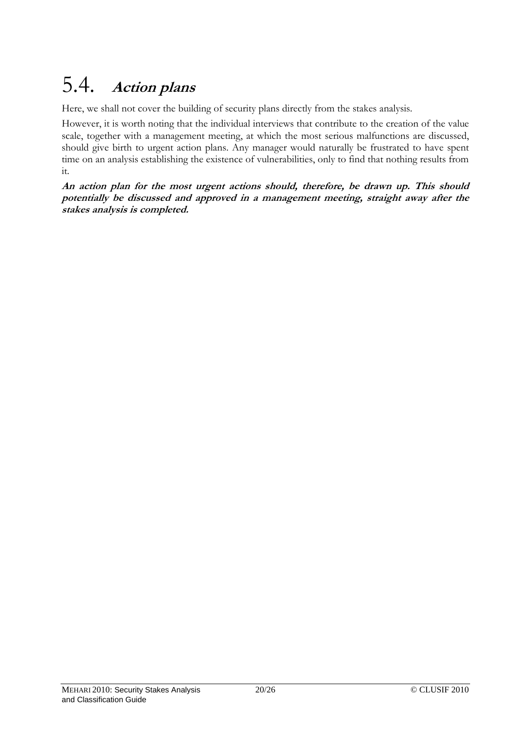# 5.4. **Action plans**

Here, we shall not cover the building of security plans directly from the stakes analysis.

However, it is worth noting that the individual interviews that contribute to the creation of the value scale, together with a management meeting, at which the most serious malfunctions are discussed, should give birth to urgent action plans. Any manager would naturally be frustrated to have spent time on an analysis establishing the existence of vulnerabilities, only to find that nothing results from it.

**An action plan for the most urgent actions should, therefore, be drawn up. This should potentially be discussed and approved in a management meeting, straight away after the stakes analysis is completed.**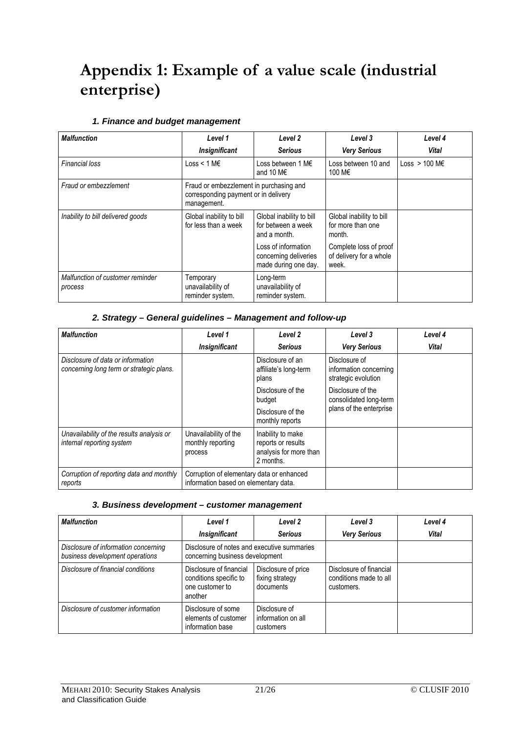# **Appendix 1: Example of a value scale (industrial enterprise)**

#### **1. Finance and budget management**

| <b>Malfunction</b>                          | Level 1                                                                                        | Level 2                                                              | Level 3                                                    | Level 4                   |
|---------------------------------------------|------------------------------------------------------------------------------------------------|----------------------------------------------------------------------|------------------------------------------------------------|---------------------------|
|                                             | <b>Insignificant</b>                                                                           | <b>Serious</b>                                                       | <b>Very Serious</b>                                        | Vital                     |
| <b>Financial loss</b>                       | Loss < 1 M $\epsilon$                                                                          | Loss between 1 M€<br>and 10 M $\epsilon$                             | Loss between 10 and<br>100 M€                              | Loss $> 100$ M $\epsilon$ |
| Fraud or embezzlement                       | Fraud or embezzlement in purchasing and<br>corresponding payment or in delivery<br>management. |                                                                      |                                                            |                           |
| Inability to bill delivered goods           | Global inability to bill<br>for less than a week                                               | Global inability to bill<br>for between a week<br>and a month.       | Global inability to bill<br>for more than one<br>month.    |                           |
|                                             |                                                                                                | Loss of information<br>concerning deliveries<br>made during one day. | Complete loss of proof<br>of delivery for a whole<br>week. |                           |
| Malfunction of customer reminder<br>process | Temporary<br>unavailability of<br>reminder system.                                             | Long-term<br>unavailability of<br>reminder system.                   |                                                            |                           |

#### **2. Strategy – General guidelines – Management and follow-up**

| <b>Malfunction</b>                                                            | Level 1                                                                            | Level 2                                                                        | Level 3                                                        | Level 4      |
|-------------------------------------------------------------------------------|------------------------------------------------------------------------------------|--------------------------------------------------------------------------------|----------------------------------------------------------------|--------------|
|                                                                               | <b>Insignificant</b>                                                               | <b>Serious</b>                                                                 | <b>Very Serious</b>                                            | <b>Vital</b> |
| Disclosure of data or information<br>concerning long term or strategic plans. |                                                                                    | Disclosure of an<br>affiliate's long-term<br>plans                             | Disclosure of<br>information concerning<br>strategic evolution |              |
|                                                                               |                                                                                    | Disclosure of the<br>budget                                                    | Disclosure of the<br>consolidated long-term                    |              |
|                                                                               |                                                                                    | Disclosure of the<br>monthly reports                                           | plans of the enterprise                                        |              |
| Unavailability of the results analysis or<br>internal reporting system        | Unavailability of the<br>monthly reporting<br>process                              | Inability to make<br>reports or results<br>analysis for more than<br>2 months. |                                                                |              |
| Corruption of reporting data and monthly<br>reports                           | Corruption of elementary data or enhanced<br>information based on elementary data. |                                                                                |                                                                |              |

#### **3. Business development – customer management**

| <b>Malfunction</b>                                                      | Level 1                                                                         | Level 2                                             | Level 3                                                         | Level 4      |
|-------------------------------------------------------------------------|---------------------------------------------------------------------------------|-----------------------------------------------------|-----------------------------------------------------------------|--------------|
|                                                                         | <b>Insignificant</b>                                                            | <b>Serious</b>                                      | <b>Very Serious</b>                                             | <b>Vital</b> |
| Disclosure of information concerning<br>business development operations | Disclosure of notes and executive summaries<br>concerning business development  |                                                     |                                                                 |              |
| Disclosure of financial conditions                                      | Disclosure of financial<br>conditions specific to<br>one customer to<br>another | Disclosure of price<br>fixing strategy<br>documents | Disclosure of financial<br>conditions made to all<br>customers. |              |
| Disclosure of customer information                                      | Disclosure of some<br>elements of customer<br>information base                  | Disclosure of<br>information on all<br>customers    |                                                                 |              |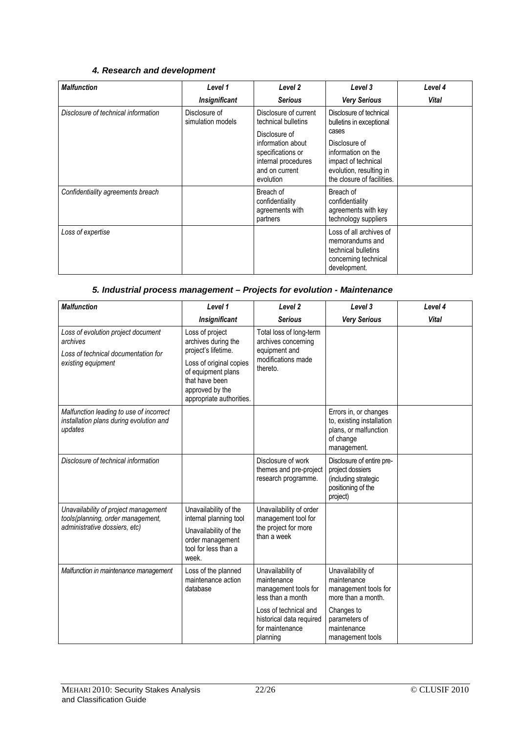### **4. Research and development**

| <b>Malfunction</b>                  | Level 1                            | Level <sub>2</sub>                                                                                                                                            | Level 3                                                                                                                                                                             | Level 4 |
|-------------------------------------|------------------------------------|---------------------------------------------------------------------------------------------------------------------------------------------------------------|-------------------------------------------------------------------------------------------------------------------------------------------------------------------------------------|---------|
|                                     | <b>Insignificant</b>               | <b>Serious</b>                                                                                                                                                | <b>Very Serious</b>                                                                                                                                                                 | Vital   |
| Disclosure of technical information | Disclosure of<br>simulation models | Disclosure of current<br>technical bulletins<br>Disclosure of<br>information about<br>specifications or<br>internal procedures<br>and on current<br>evolution | Disclosure of technical<br>bulletins in exceptional<br>cases<br>Disclosure of<br>information on the<br>impact of technical<br>evolution, resulting in<br>the closure of facilities. |         |
| Confidentiality agreements breach   |                                    | Breach of<br>confidentiality<br>agreements with<br>partners                                                                                                   | Breach of<br>confidentiality<br>agreements with key<br>technology suppliers                                                                                                         |         |
| Loss of expertise                   |                                    |                                                                                                                                                               | Loss of all archives of<br>memorandums and<br>technical bulletins<br>concerning technical<br>development.                                                                           |         |

#### **5. Industrial process management – Projects for evolution - Maintenance**

| <b>Malfunction</b>                                                                                          | Level 1                                                                                                                       | Level <sub>2</sub>                                                                    | Level 3                                                                                                 | Level 4      |
|-------------------------------------------------------------------------------------------------------------|-------------------------------------------------------------------------------------------------------------------------------|---------------------------------------------------------------------------------------|---------------------------------------------------------------------------------------------------------|--------------|
|                                                                                                             | <b>Insignificant</b>                                                                                                          | <b>Serious</b>                                                                        | <b>Very Serious</b>                                                                                     | <b>Vital</b> |
| Loss of evolution project document<br>archives<br>Loss of technical documentation for<br>existing equipment | Loss of project<br>archives during the<br>project's lifetime.                                                                 | Total loss of long-term<br>archives concerning<br>equipment and                       |                                                                                                         |              |
|                                                                                                             | Loss of original copies<br>of equipment plans<br>that have been<br>approved by the<br>appropriate authorities.                | modifications made<br>thereto.                                                        |                                                                                                         |              |
| Malfunction leading to use of incorrect<br>installation plans during evolution and<br>updates               |                                                                                                                               |                                                                                       | Errors in, or changes<br>to, existing installation<br>plans, or malfunction<br>of change<br>management. |              |
| Disclosure of technical information                                                                         |                                                                                                                               | Disclosure of work<br>themes and pre-project<br>research programme.                   | Disclosure of entire pre-<br>project dossiers<br>(including strategic<br>positioning of the<br>project) |              |
| Unavailability of project management<br>tools(planning, order management,<br>administrative dossiers, etc)  | Unavailability of the<br>internal planning tool<br>Unavailability of the<br>order management<br>tool for less than a<br>week. | Unavailability of order<br>management tool for<br>the project for more<br>than a week |                                                                                                         |              |
| Malfunction in maintenance management                                                                       | Loss of the planned<br>maintenance action<br>database                                                                         | Unavailability of<br>maintenance<br>management tools for<br>less than a month         | Unavailability of<br>maintenance<br>management tools for<br>more than a month.                          |              |
|                                                                                                             |                                                                                                                               | Loss of technical and<br>historical data required<br>for maintenance<br>planning      | Changes to<br>parameters of<br>maintenance<br>management tools                                          |              |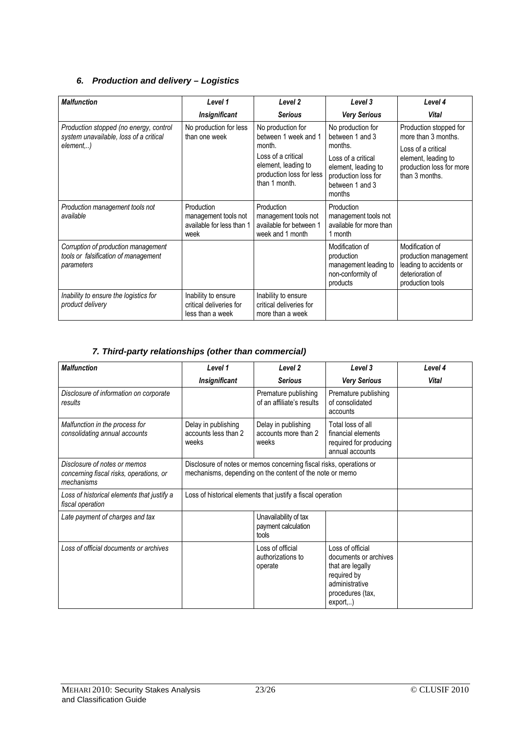#### **6. Production and delivery – Logistics**

| <b>Malfunction</b>                                                                           | Level 1                                                                 | Level 2                                                                                                                                       | Level 3                                                                                                                                          | Level 4                                                                                                                                  |
|----------------------------------------------------------------------------------------------|-------------------------------------------------------------------------|-----------------------------------------------------------------------------------------------------------------------------------------------|--------------------------------------------------------------------------------------------------------------------------------------------------|------------------------------------------------------------------------------------------------------------------------------------------|
|                                                                                              | <b>Insignificant</b>                                                    | <b>Serious</b>                                                                                                                                | <b>Very Serious</b>                                                                                                                              | <b>Vital</b>                                                                                                                             |
| Production stopped (no energy, control<br>system unavailable, loss of a critical<br>element) | No production for less<br>than one week                                 | No production for<br>between 1 week and 1<br>month.<br>Loss of a critical<br>element, leading to<br>production loss for less<br>than 1 month. | No production for<br>between 1 and 3<br>months.<br>Loss of a critical<br>element, leading to<br>production loss for<br>between 1 and 3<br>months | Production stopped for<br>more than 3 months.<br>Loss of a critical<br>element, leading to<br>production loss for more<br>than 3 months. |
| Production management tools not<br>available                                                 | Production<br>management tools not<br>available for less than 1<br>week | Production<br>management tools not<br>available for between 1<br>week and 1 month                                                             | Production<br>management tools not<br>available for more than<br>1 month                                                                         |                                                                                                                                          |
| Corruption of production management<br>tools or falsification of management<br>parameters    |                                                                         |                                                                                                                                               | Modification of<br>production<br>management leading to<br>non-conformity of<br>products                                                          | Modification of<br>production management<br>leading to accidents or<br>deterioration of<br>production tools                              |
| Inability to ensure the logistics for<br>product delivery                                    | Inability to ensure<br>critical deliveries for<br>less than a week      | Inability to ensure<br>critical deliveries for<br>more than a week                                                                            |                                                                                                                                                  |                                                                                                                                          |

## **7. Third-party relationships (other than commercial)**

| <b>Malfunction</b>                                                                    | Level 1                                              | Level <sub>2</sub>                                                                                                              | Level 3                                                                                                                         | Level 4 |  |
|---------------------------------------------------------------------------------------|------------------------------------------------------|---------------------------------------------------------------------------------------------------------------------------------|---------------------------------------------------------------------------------------------------------------------------------|---------|--|
|                                                                                       | Insignificant                                        | <b>Serious</b>                                                                                                                  | <b>Very Serious</b>                                                                                                             | Vital   |  |
| Disclosure of information on corporate<br>results                                     |                                                      | Premature publishing<br>of an affiliate's results                                                                               | Premature publishing<br>of consolidated<br>accounts                                                                             |         |  |
| Malfunction in the process for<br>consolidating annual accounts                       | Delay in publishing<br>accounts less than 2<br>weeks | Delay in publishing<br>accounts more than 2<br>weeks                                                                            | Total loss of all<br>financial elements<br>required for producing<br>annual accounts                                            |         |  |
| Disclosure of notes or memos<br>concerning fiscal risks, operations, or<br>mechanisms |                                                      | Disclosure of notes or memos concerning fiscal risks, operations or<br>mechanisms, depending on the content of the note or memo |                                                                                                                                 |         |  |
| Loss of historical elements that justify a<br>fiscal operation                        |                                                      | Loss of historical elements that justify a fiscal operation                                                                     |                                                                                                                                 |         |  |
| Late payment of charges and tax                                                       |                                                      | Unavailability of tax<br>payment calculation<br>tools                                                                           |                                                                                                                                 |         |  |
| Loss of official documents or archives                                                |                                                      | Loss of official<br>authorizations to<br>operate                                                                                | Loss of official<br>documents or archives<br>that are legally<br>required by<br>administrative<br>procedures (tax,<br>export, ) |         |  |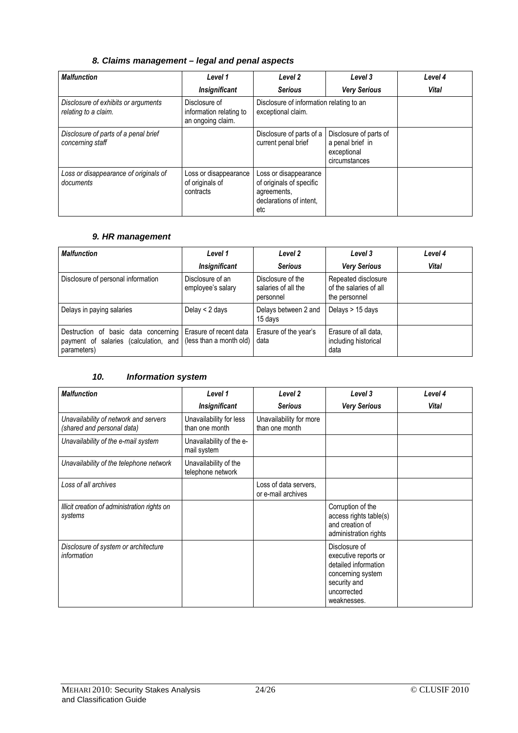### **8. Claims management – legal and penal aspects**

| <b>Malfunction</b>                                          | Level 1                                                       | Level <sub>2</sub>                                                                                 | Level 3                                                                    | Level 4      |
|-------------------------------------------------------------|---------------------------------------------------------------|----------------------------------------------------------------------------------------------------|----------------------------------------------------------------------------|--------------|
|                                                             | <b>Insignificant</b>                                          | <b>Serious</b>                                                                                     | <b>Very Serious</b>                                                        | <b>Vital</b> |
| Disclosure of exhibits or arguments<br>relating to a claim. | Disclosure of<br>information relating to<br>an ongoing claim. | Disclosure of information relating to an<br>exceptional claim.                                     |                                                                            |              |
| Disclosure of parts of a penal brief<br>concerning staff    |                                                               | Disclosure of parts of a<br>current penal brief                                                    | Disclosure of parts of<br>a penal brief in<br>exceptional<br>circumstances |              |
| Loss or disappearance of originals of<br>documents          | Loss or disappearance<br>of originals of<br>contracts         | Loss or disappearance<br>of originals of specific<br>agreements,<br>declarations of intent.<br>etc |                                                                            |              |

### **9. HR management**

| <b>Malfunction</b>                                                                                                                          | Level 1                               | Level 2                                               | Level 3                                                        | Level 4      |
|---------------------------------------------------------------------------------------------------------------------------------------------|---------------------------------------|-------------------------------------------------------|----------------------------------------------------------------|--------------|
|                                                                                                                                             | <b>Insignificant</b>                  | <b>Serious</b>                                        | <b>Very Serious</b>                                            | <b>Vital</b> |
| Disclosure of personal information                                                                                                          | Disclosure of an<br>employee's salary | Disclosure of the<br>salaries of all the<br>personnel | Repeated disclosure<br>of the salaries of all<br>the personnel |              |
| Delays in paying salaries                                                                                                                   | Delay $<$ 2 days                      | Delays between 2 and<br>15 days                       | Delays > 15 days                                               |              |
| Destruction of basic data concerning Erasure of recent data<br>payment of salaries (calculation, and (less than a month old)<br>parameters) |                                       | Erasure of the year's<br>data                         | Erasure of all data,<br>including historical<br>data           |              |

#### **10. Information system**

| <b>Malfunction</b>                                                  | Level 1                                    | Level 2                                     | Level 3                                                                                                                          | Level 4      |
|---------------------------------------------------------------------|--------------------------------------------|---------------------------------------------|----------------------------------------------------------------------------------------------------------------------------------|--------------|
|                                                                     | <b>Insignificant</b>                       | <b>Serious</b>                              | <b>Very Serious</b>                                                                                                              | <b>Vital</b> |
| Unavailability of network and servers<br>(shared and personal data) | Unavailability for less<br>than one month  | Unavailability for more<br>than one month   |                                                                                                                                  |              |
| Unavailability of the e-mail system                                 | Unavailability of the e-<br>mail system    |                                             |                                                                                                                                  |              |
| Unavailability of the telephone network                             | Unavailability of the<br>telephone network |                                             |                                                                                                                                  |              |
| Loss of all archives                                                |                                            | Loss of data servers,<br>or e-mail archives |                                                                                                                                  |              |
| Illicit creation of administration rights on<br>systems             |                                            |                                             | Corruption of the<br>access rights table(s)<br>and creation of<br>administration rights                                          |              |
| Disclosure of system or architecture<br>information                 |                                            |                                             | Disclosure of<br>executive reports or<br>detailed information<br>concerning system<br>security and<br>uncorrected<br>weaknesses. |              |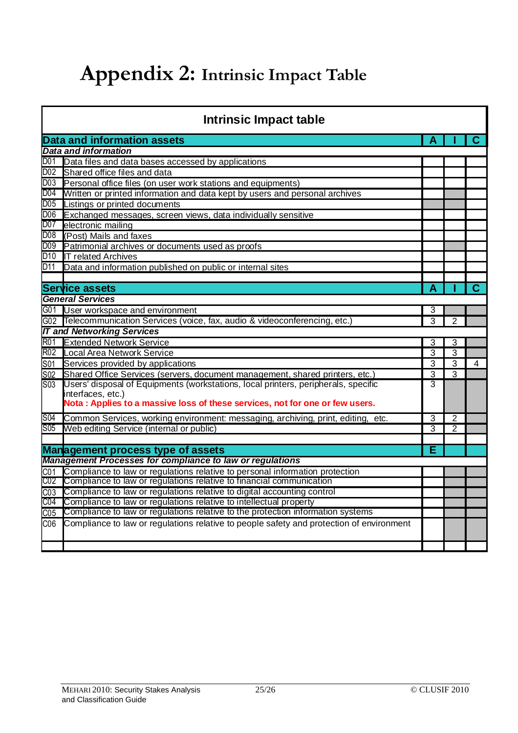# **Appendix 2: Intrinsic Impact Table**

|                  | <b>Intrinsic Impact table</b>                                                            |                |                |    |
|------------------|------------------------------------------------------------------------------------------|----------------|----------------|----|
|                  | <b>Data and information assets</b>                                                       |                |                |    |
|                  | <b>Data and information</b>                                                              |                |                |    |
| D01              | Data files and data bases accessed by applications                                       |                |                |    |
| D <sub>0</sub> 2 | Shared office files and data                                                             |                |                |    |
| D03              | Personal office files (on user work stations and equipments)                             |                |                |    |
| D04              | Written or printed information and data kept by users and personal archives              |                |                |    |
| D05              | Listings or printed documents                                                            |                |                |    |
| D06              | Exchanged messages, screen views, data individually sensitive                            |                |                |    |
| D07              | electronic mailing                                                                       |                |                |    |
| D <sub>0</sub> 8 | (Post) Mails and faxes                                                                   |                |                |    |
| D <sub>0</sub> 9 | Patrimonial archives or documents used as proofs                                         |                |                |    |
| D10              | <b>IT related Archives</b>                                                               |                |                |    |
| D11              | Data and information published on public or internal sites                               |                |                |    |
|                  |                                                                                          |                |                |    |
|                  | Service assets                                                                           | А              |                | C. |
|                  | <b>General Services</b>                                                                  |                |                |    |
|                  | G01 User workspace and environment                                                       | 3              |                |    |
| G02              | Telecommunication Services (voice, fax, audio & videoconferencing, etc.)                 | 3              | 2              |    |
|                  | <b>IT and Networking Services</b>                                                        |                |                |    |
| <b>R01</b>       | <b>Extended Network Service</b>                                                          | 3              | 3              |    |
| <b>R02</b>       | Local Area Network Service                                                               | 3              | 3              |    |
| S01              | Services provided by applications                                                        | 3              | 3              | 4  |
| S <sub>02</sub>  | Shared Office Services (servers, document management, shared printers, etc.)             | 3              | 3              |    |
| S03              | Users' disposal of Equipments (workstations, local printers, peripherals, specific       | 3              |                |    |
|                  | interfaces, etc.)                                                                        |                |                |    |
|                  | Nota: Applies to a massive loss of these services, not for one or few users.             |                |                |    |
| S04              | Common Services, working environment: messaging, archiving, print, editing,<br>etc.      | $\overline{3}$ | $\overline{2}$ |    |
| S <sub>05</sub>  | Web editing Service (internal or public)                                                 | 3              | 2              |    |
|                  |                                                                                          |                |                |    |
|                  | <b>Management process type of assets</b>                                                 | Е              |                |    |
|                  | <b>Management Processes for compliance to law or regulations</b>                         |                |                |    |
| CO <sub>1</sub>  | Compliance to law or regulations relative to personal information protection             |                |                |    |
| C02              | Compliance to law or regulations relative to financial communication                     |                |                |    |
| CO <sub>3</sub>  | Compliance to law or regulations relative to digital accounting control                  |                |                |    |
| C04              | Compliance to law or regulations relative to intellectual property                       |                |                |    |
| CO <sub>5</sub>  | Compliance to law or regulations relative to the protection information systems          |                |                |    |
| CO6              | Compliance to law or regulations relative to people safety and protection of environment |                |                |    |
|                  |                                                                                          |                |                |    |
|                  |                                                                                          |                |                |    |